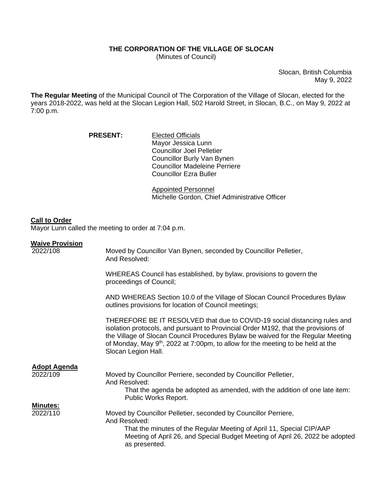## **THE CORPORATION OF THE VILLAGE OF SLOCAN**

(Minutes of Council)

Slocan, British Columbia May 9, 2022

**The Regular Meeting** of the Municipal Council of The Corporation of the Village of Slocan, elected for the years 2018-2022, was held at the Slocan Legion Hall, 502 Harold Street, in Slocan, B.C., on May 9, 2022 at 7:00 p.m.

| <b>PRESENT:</b> | <b>Elected Officials</b>             |
|-----------------|--------------------------------------|
|                 | Mayor Jessica Lunn                   |
|                 | <b>Councillor Joel Pelletier</b>     |
|                 | Councillor Burly Van Bynen           |
|                 | <b>Councillor Madeleine Perriere</b> |
|                 | <b>Councillor Ezra Buller</b>        |

Appointed Personnel Michelle Gordon, Chief Administrative Officer

## **Call to Order**

Mayor Lunn called the meeting to order at 7:04 p.m.

## **Waive Provision**

| 2022/108                        | Moved by Councillor Van Bynen, seconded by Councillor Pelletier,<br>And Resolved:                                                                                                                                                                                                                                                                               |
|---------------------------------|-----------------------------------------------------------------------------------------------------------------------------------------------------------------------------------------------------------------------------------------------------------------------------------------------------------------------------------------------------------------|
|                                 | WHEREAS Council has established, by bylaw, provisions to govern the<br>proceedings of Council;                                                                                                                                                                                                                                                                  |
|                                 | AND WHEREAS Section 10.0 of the Village of Slocan Council Procedures Bylaw<br>outlines provisions for location of Council meetings;                                                                                                                                                                                                                             |
|                                 | THEREFORE BE IT RESOLVED that due to COVID-19 social distancing rules and<br>isolation protocols, and pursuant to Provincial Order M192, that the provisions of<br>the Village of Slocan Council Procedures Bylaw be waived for the Regular Meeting<br>of Monday, May $9th$ , 2022 at 7:00pm, to allow for the meeting to be held at the<br>Slocan Legion Hall. |
| <b>Adopt Agenda</b><br>2022/109 | Moved by Councillor Perriere, seconded by Councillor Pelletier,<br>And Resolved:<br>That the agenda be adopted as amended, with the addition of one late item:<br>Public Works Report.                                                                                                                                                                          |
| <b>Minutes:</b><br>2022/110     | Moved by Councillor Pelletier, seconded by Councillor Perriere,<br>And Resolved:<br>That the minutes of the Regular Meeting of April 11, Special CIP/AAP<br>Meeting of April 26, and Special Budget Meeting of April 26, 2022 be adopted<br>as presented.                                                                                                       |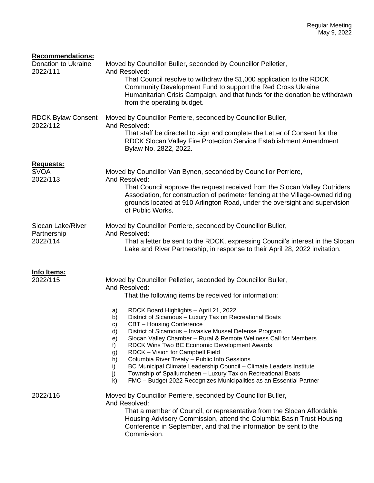| <b>Recommendations:</b>                      |                                                                                                                                                                                                                                                                                                                                                                                                                                                                                                                                                                                                                                                                                                                                                                                                                           |
|----------------------------------------------|---------------------------------------------------------------------------------------------------------------------------------------------------------------------------------------------------------------------------------------------------------------------------------------------------------------------------------------------------------------------------------------------------------------------------------------------------------------------------------------------------------------------------------------------------------------------------------------------------------------------------------------------------------------------------------------------------------------------------------------------------------------------------------------------------------------------------|
| Donation to Ukraine<br>2022/111              | Moved by Councillor Buller, seconded by Councillor Pelletier,<br>And Resolved:<br>That Council resolve to withdraw the \$1,000 application to the RDCK<br>Community Development Fund to support the Red Cross Ukraine<br>Humanitarian Crisis Campaign, and that funds for the donation be withdrawn<br>from the operating budget.                                                                                                                                                                                                                                                                                                                                                                                                                                                                                         |
| <b>RDCK Bylaw Consent</b><br>2022/112        | Moved by Councillor Perriere, seconded by Councillor Buller,<br>And Resolved:<br>That staff be directed to sign and complete the Letter of Consent for the<br>RDCK Slocan Valley Fire Protection Service Establishment Amendment<br>Bylaw No. 2822, 2022.                                                                                                                                                                                                                                                                                                                                                                                                                                                                                                                                                                 |
| Requests:<br><b>SVOA</b><br>2022/113         | Moved by Councillor Van Bynen, seconded by Councillor Perriere,<br>And Resolved:<br>That Council approve the request received from the Slocan Valley Outriders<br>Association, for construction of perimeter fencing at the Village-owned riding<br>grounds located at 910 Arlington Road, under the oversight and supervision<br>of Public Works.                                                                                                                                                                                                                                                                                                                                                                                                                                                                        |
| Slocan Lake/River<br>Partnership<br>2022/114 | Moved by Councillor Perriere, seconded by Councillor Buller,<br>And Resolved:<br>That a letter be sent to the RDCK, expressing Council's interest in the Slocan<br>Lake and River Partnership, in response to their April 28, 2022 invitation.                                                                                                                                                                                                                                                                                                                                                                                                                                                                                                                                                                            |
| <u>Info Items:</u><br>2022/115               | Moved by Councillor Pelletier, seconded by Councillor Buller,<br>And Resolved:<br>That the following items be received for information:<br>RDCK Board Highlights - April 21, 2022<br>a)<br>District of Sicamous - Luxury Tax on Recreational Boats<br>b)<br>c)<br>CBT - Housing Conference<br>d)<br>District of Sicamous - Invasive Mussel Defense Program<br>Slocan Valley Chamber - Rural & Remote Wellness Call for Members<br>e)<br>RDCK Wins Two BC Economic Development Awards<br>f)<br>RDCK - Vision for Campbell Field<br>g)<br>h)<br>Columbia River Treaty - Public Info Sessions<br>BC Municipal Climate Leadership Council - Climate Leaders Institute<br>i)<br>j)<br>Township of Spallumcheen - Luxury Tax on Recreational Boats<br>FMC - Budget 2022 Recognizes Municipalities as an Essential Partner<br>k) |
| 2022/116                                     | Moved by Councillor Perriere, seconded by Councillor Buller,<br>And Resolved:<br>That a member of Council, or representative from the Slocan Affordable<br>Housing Advisory Commission, attend the Columbia Basin Trust Housing<br>Conference in September, and that the information be sent to the<br>Commission.                                                                                                                                                                                                                                                                                                                                                                                                                                                                                                        |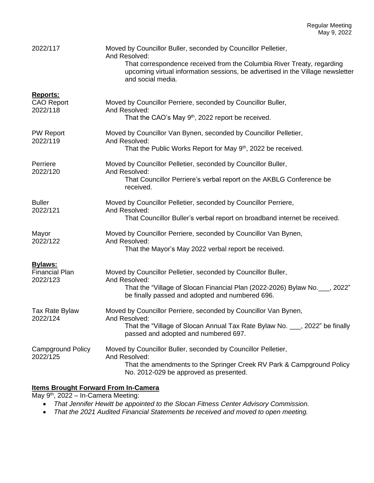| 2022/117                                            | Moved by Councillor Buller, seconded by Councillor Pelletier,<br>And Resolved:<br>That correspondence received from the Columbia River Treaty, regarding<br>upcoming virtual information sessions, be advertised in the Village newsletter<br>and social media. |
|-----------------------------------------------------|-----------------------------------------------------------------------------------------------------------------------------------------------------------------------------------------------------------------------------------------------------------------|
| <b>Reports:</b><br><b>CAO Report</b><br>2022/118    | Moved by Councillor Perriere, seconded by Councillor Buller,<br>And Resolved:<br>That the CAO's May 9 <sup>th</sup> , 2022 report be received.                                                                                                                  |
| <b>PW Report</b><br>2022/119                        | Moved by Councillor Van Bynen, seconded by Councillor Pelletier,<br>And Resolved:<br>That the Public Works Report for May 9 <sup>th</sup> , 2022 be received.                                                                                                   |
| Perriere<br>2022/120                                | Moved by Councillor Pelletier, seconded by Councillor Buller,<br>And Resolved:<br>That Councillor Perriere's verbal report on the AKBLG Conference be<br>received.                                                                                              |
| <b>Buller</b><br>2022/121                           | Moved by Councillor Pelletier, seconded by Councillor Perriere,<br>And Resolved:<br>That Councillor Buller's verbal report on broadband internet be received.                                                                                                   |
| Mayor<br>2022/122                                   | Moved by Councillor Perriere, seconded by Councillor Van Bynen,<br>And Resolved:<br>That the Mayor's May 2022 verbal report be received.                                                                                                                        |
| <b>Bylaws:</b><br><b>Financial Plan</b><br>2022/123 | Moved by Councillor Pelletier, seconded by Councillor Buller,<br>And Resolved:<br>That the "Village of Slocan Financial Plan (2022-2026) Bylaw No. 6. 2022"<br>be finally passed and adopted and numbered 696.                                                  |
| Tax Rate Bylaw<br>2022/124                          | Moved by Councillor Perriere, seconded by Councillor Van Bynen,<br>And Resolved:<br>That the "Village of Slocan Annual Tax Rate Bylaw No. ___, 2022" be finally<br>passed and adopted and numbered 697.                                                         |
| <b>Campground Policy</b><br>2022/125                | Moved by Councillor Buller, seconded by Councillor Pelletier,<br>And Resolved:<br>That the amendments to the Springer Creek RV Park & Campground Policy<br>No. 2012-029 be approved as presented.                                                               |

## **Items Brought Forward From In-Camera**

May 9<sup>th</sup>, 2022 – In-Camera Meeting:

- *That Jennifer Hewitt be appointed to the Slocan Fitness Center Advisory Commission.*
- *That the 2021 Audited Financial Statements be received and moved to open meeting.*